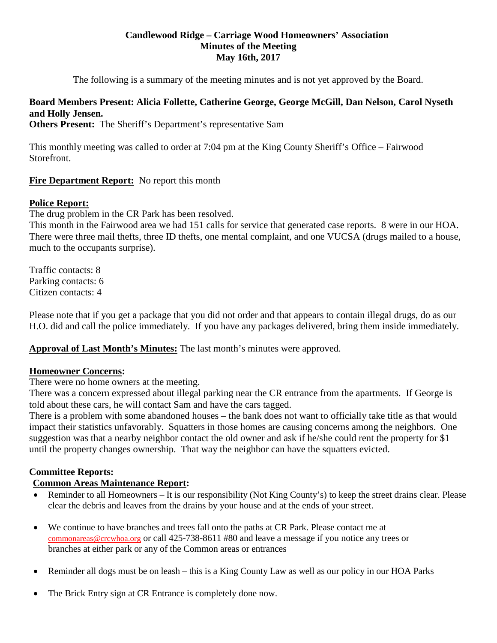## **Candlewood Ridge – Carriage Wood Homeowners' Association Minutes of the Meeting May 16th, 2017**

The following is a summary of the meeting minutes and is not yet approved by the Board.

# **Board Members Present: Alicia Follette, Catherine George, George McGill, Dan Nelson, Carol Nyseth and Holly Jensen.**

**Others Present:** The Sheriff's Department's representative Sam

This monthly meeting was called to order at 7:04 pm at the King County Sheriff's Office – Fairwood Storefront.

# **Fire Department Report:** No report this month

# **Police Report:**

The drug problem in the CR Park has been resolved.

This month in the Fairwood area we had 151 calls for service that generated case reports. 8 were in our HOA. There were three mail thefts, three ID thefts, one mental complaint, and one VUCSA (drugs mailed to a house, much to the occupants surprise).

Traffic contacts: 8 Parking contacts: 6 Citizen contacts: 4

Please note that if you get a package that you did not order and that appears to contain illegal drugs, do as our H.O. did and call the police immediately. If you have any packages delivered, bring them inside immediately.

# **Approval of Last Month's Minutes:** The last month's minutes were approved.

# **Homeowner Concerns:**

There were no home owners at the meeting.

There was a concern expressed about illegal parking near the CR entrance from the apartments. If George is told about these cars, he will contact Sam and have the cars tagged.

There is a problem with some abandoned houses – the bank does not want to officially take title as that would impact their statistics unfavorably. Squatters in those homes are causing concerns among the neighbors. One suggestion was that a nearby neighbor contact the old owner and ask if he/she could rent the property for \$1 until the property changes ownership. That way the neighbor can have the squatters evicted.

# **Committee Reports:**

# **Common Areas Maintenance Report:**

- Reminder to all Homeowners It is our responsibility (Not King County's) to keep the street drains clear. Please clear the debris and leaves from the drains by your house and at the ends of your street.
- We continue to have branches and trees fall onto the paths at CR Park. Please contact me at [commonareas@crcwhoa.org](mailto:commonareas@crcwhoa.org) or call 425-738-8611 #80 and leave a message if you notice any trees or branches at either park or any of the Common areas or entrances
- Reminder all dogs must be on leash this is a King County Law as well as our policy in our HOA Parks
- The Brick Entry sign at CR Entrance is completely done now.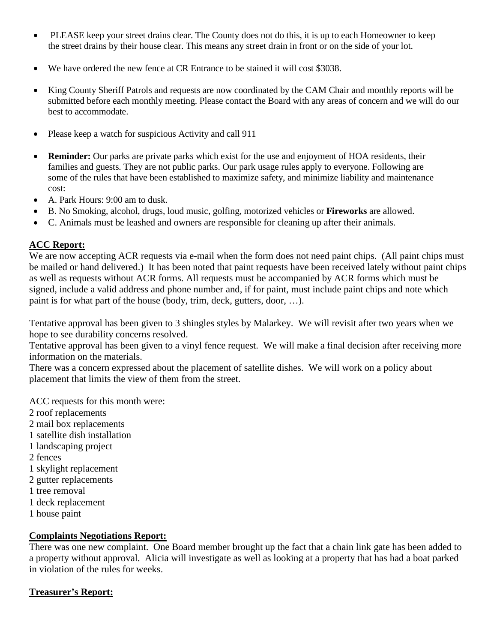- PLEASE keep your street drains clear. The County does not do this, it is up to each Homeowner to keep the street drains by their house clear. This means any street drain in front or on the side of your lot.
- We have ordered the new fence at CR Entrance to be stained it will cost \$3038.
- King County Sheriff Patrols and requests are now coordinated by the CAM Chair and monthly reports will be submitted before each monthly meeting. Please contact the Board with any areas of concern and we will do our best to accommodate.
- Please keep a watch for suspicious Activity and call 911
- **Reminder:** Our parks are private parks which exist for the use and enjoyment of HOA residents, their families and guests. They are not public parks. Our park usage rules apply to everyone. Following are some of the rules that have been established to maximize safety, and minimize liability and maintenance cost:
- A. Park Hours: 9:00 am to dusk.
- B. No Smoking, alcohol, drugs, loud music, golfing, motorized vehicles or **Fireworks** are allowed.
- C. Animals must be leashed and owners are responsible for cleaning up after their animals.

## **ACC Report:**

We are now accepting ACR requests via e-mail when the form does not need paint chips. (All paint chips must be mailed or hand delivered.) It has been noted that paint requests have been received lately without paint chips as well as requests without ACR forms. All requests must be accompanied by ACR forms which must be signed, include a valid address and phone number and, if for paint, must include paint chips and note which paint is for what part of the house (body, trim, deck, gutters, door, …).

Tentative approval has been given to 3 shingles styles by Malarkey. We will revisit after two years when we hope to see durability concerns resolved.

Tentative approval has been given to a vinyl fence request. We will make a final decision after receiving more information on the materials.

There was a concern expressed about the placement of satellite dishes. We will work on a policy about placement that limits the view of them from the street.

ACC requests for this month were:

- 2 roof replacements
- 2 mail box replacements
- 1 satellite dish installation
- 1 landscaping project
- 2 fences
- 1 skylight replacement
- 2 gutter replacements
- 1 tree removal
- 1 deck replacement
- 1 house paint

## **Complaints Negotiations Report:**

There was one new complaint. One Board member brought up the fact that a chain link gate has been added to a property without approval. Alicia will investigate as well as looking at a property that has had a boat parked in violation of the rules for weeks.

## **Treasurer's Report:**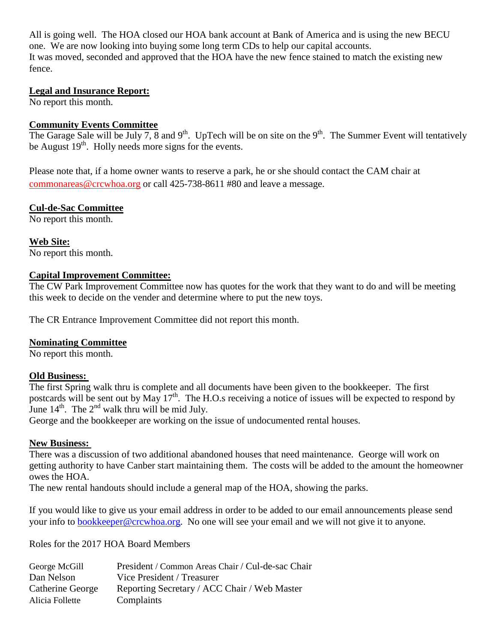All is going well. The HOA closed our HOA bank account at Bank of America and is using the new BECU one. We are now looking into buying some long term CDs to help our capital accounts. It was moved, seconded and approved that the HOA have the new fence stained to match the existing new fence.

## **Legal and Insurance Report:**

No report this month.

## **Community Events Committee**

The Garage Sale will be July 7, 8 and  $9<sup>th</sup>$ . UpTech will be on site on the  $9<sup>th</sup>$ . The Summer Event will tentatively be August  $19<sup>th</sup>$ . Holly needs more signs for the events.

Please note that, if a home owner wants to reserve a park, he or she should contact the CAM chair at [commonareas@crcwhoa.org](mailto:commonareas@crcwhoa.org) or call 425-738-8611 #80 and leave a message.

## **Cul-de-Sac Committee**

No report this month.

**Web Site:** No report this month.

## **Capital Improvement Committee:**

The CW Park Improvement Committee now has quotes for the work that they want to do and will be meeting this week to decide on the vender and determine where to put the new toys.

The CR Entrance Improvement Committee did not report this month.

## **Nominating Committee**

No report this month.

## **Old Business:**

The first Spring walk thru is complete and all documents have been given to the bookkeeper. The first postcards will be sent out by May 17<sup>th</sup>. The H.O.s receiving a notice of issues will be expected to respond by June  $14^{th}$ . The  $2^{nd}$  walk thru will be mid July.

George and the bookkeeper are working on the issue of undocumented rental houses.

## **New Business:**

There was a discussion of two additional abandoned houses that need maintenance. George will work on getting authority to have Canber start maintaining them. The costs will be added to the amount the homeowner owes the HOA.

The new rental handouts should include a general map of the HOA, showing the parks.

If you would like to give us your email address in order to be added to our email announcements please send your info to **bookkeeper@crcwhoa.org**. No one will see your email and we will not give it to anyone.

Roles for the 2017 HOA Board Members

| George McGill    | President / Common Areas Chair / Cul-de-sac Chair |
|------------------|---------------------------------------------------|
| Dan Nelson       | Vice President / Treasurer                        |
| Catherine George | Reporting Secretary / ACC Chair / Web Master      |
| Alicia Follette  | Complaints                                        |